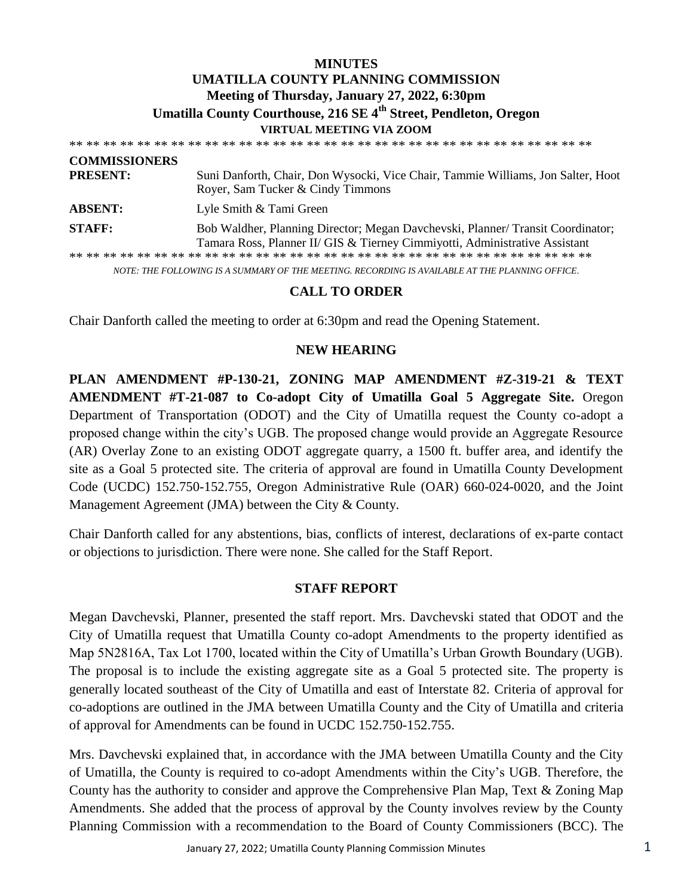### **MINUTES UMATILLA COUNTY PLANNING COMMISSION Meeting of Thursday, January 27, 2022, 6:30pm Umatilla County Courthouse, 216 SE 4th Street, Pendleton, Oregon VIRTUAL MEETING VIA ZOOM**

| <b>COMMISSIONERS</b> |                                                                                                                                                               |
|----------------------|---------------------------------------------------------------------------------------------------------------------------------------------------------------|
| <b>PRESENT:</b>      | Suni Danforth, Chair, Don Wysocki, Vice Chair, Tammie Williams, Jon Salter, Hoot<br>Royer, Sam Tucker & Cindy Timmons                                         |
| <b>ABSENT:</b>       | Lyle Smith & Tami Green                                                                                                                                       |
| <b>STAFF:</b>        | Bob Waldher, Planning Director; Megan Davchevski, Planner/Transit Coordinator;<br>Tamara Ross, Planner II/ GIS & Tierney Cimmiyotti, Administrative Assistant |
|                      |                                                                                                                                                               |
|                      | NOTE: THE FOLLOWING IS A SUMMARY OF THE MEETING. RECORDING IS AVAILABLE AT THE PLANNING OFFICE.                                                               |

#### **CALL TO ORDER**

Chair Danforth called the meeting to order at 6:30pm and read the Opening Statement.

#### **NEW HEARING**

**PLAN AMENDMENT #P-130-21, ZONING MAP AMENDMENT #Z-319-21 & TEXT AMENDMENT #T-21-087 to Co-adopt City of Umatilla Goal 5 Aggregate Site.** Oregon Department of Transportation (ODOT) and the City of Umatilla request the County co-adopt a proposed change within the city's UGB. The proposed change would provide an Aggregate Resource (AR) Overlay Zone to an existing ODOT aggregate quarry, a 1500 ft. buffer area, and identify the site as a Goal 5 protected site. The criteria of approval are found in Umatilla County Development Code (UCDC) 152.750-152.755, Oregon Administrative Rule (OAR) 660-024-0020, and the Joint Management Agreement (JMA) between the City & County.

Chair Danforth called for any abstentions, bias, conflicts of interest, declarations of ex-parte contact or objections to jurisdiction. There were none. She called for the Staff Report.

#### **STAFF REPORT**

Megan Davchevski, Planner, presented the staff report. Mrs. Davchevski stated that ODOT and the City of Umatilla request that Umatilla County co-adopt Amendments to the property identified as Map 5N2816A, Tax Lot 1700, located within the City of Umatilla's Urban Growth Boundary (UGB). The proposal is to include the existing aggregate site as a Goal 5 protected site. The property is generally located southeast of the City of Umatilla and east of Interstate 82. Criteria of approval for co-adoptions are outlined in the JMA between Umatilla County and the City of Umatilla and criteria of approval for Amendments can be found in UCDC 152.750-152.755.

Mrs. Davchevski explained that, in accordance with the JMA between Umatilla County and the City of Umatilla, the County is required to co-adopt Amendments within the City's UGB. Therefore, the County has the authority to consider and approve the Comprehensive Plan Map, Text & Zoning Map Amendments. She added that the process of approval by the County involves review by the County Planning Commission with a recommendation to the Board of County Commissioners (BCC). The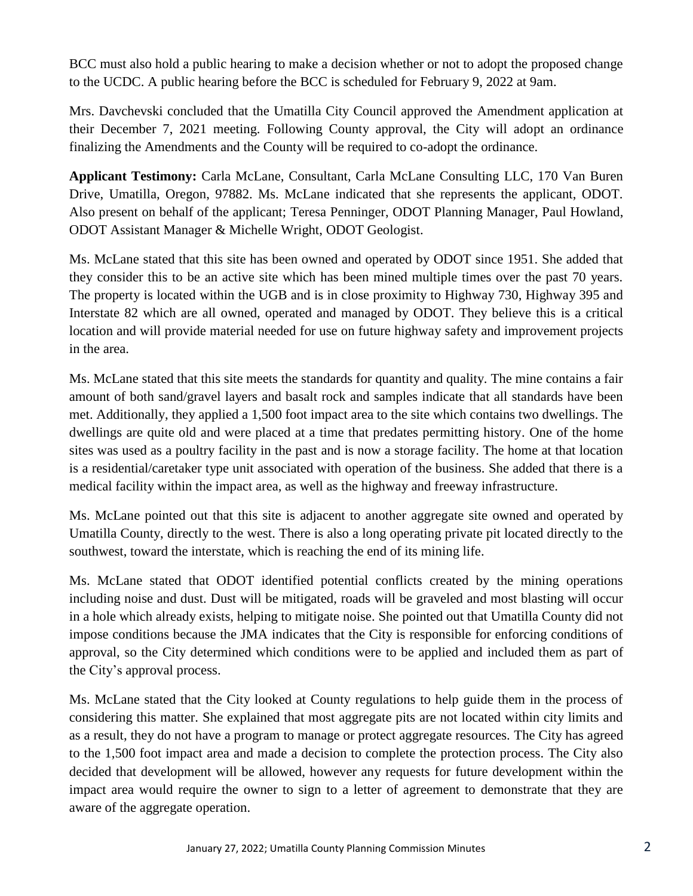BCC must also hold a public hearing to make a decision whether or not to adopt the proposed change to the UCDC. A public hearing before the BCC is scheduled for February 9, 2022 at 9am.

Mrs. Davchevski concluded that the Umatilla City Council approved the Amendment application at their December 7, 2021 meeting. Following County approval, the City will adopt an ordinance finalizing the Amendments and the County will be required to co-adopt the ordinance.

**Applicant Testimony:** Carla McLane, Consultant, Carla McLane Consulting LLC, 170 Van Buren Drive, Umatilla, Oregon, 97882. Ms. McLane indicated that she represents the applicant, ODOT. Also present on behalf of the applicant; Teresa Penninger, ODOT Planning Manager, Paul Howland, ODOT Assistant Manager & Michelle Wright, ODOT Geologist.

Ms. McLane stated that this site has been owned and operated by ODOT since 1951. She added that they consider this to be an active site which has been mined multiple times over the past 70 years. The property is located within the UGB and is in close proximity to Highway 730, Highway 395 and Interstate 82 which are all owned, operated and managed by ODOT. They believe this is a critical location and will provide material needed for use on future highway safety and improvement projects in the area.

Ms. McLane stated that this site meets the standards for quantity and quality. The mine contains a fair amount of both sand/gravel layers and basalt rock and samples indicate that all standards have been met. Additionally, they applied a 1,500 foot impact area to the site which contains two dwellings. The dwellings are quite old and were placed at a time that predates permitting history. One of the home sites was used as a poultry facility in the past and is now a storage facility. The home at that location is a residential/caretaker type unit associated with operation of the business. She added that there is a medical facility within the impact area, as well as the highway and freeway infrastructure.

Ms. McLane pointed out that this site is adjacent to another aggregate site owned and operated by Umatilla County, directly to the west. There is also a long operating private pit located directly to the southwest, toward the interstate, which is reaching the end of its mining life.

Ms. McLane stated that ODOT identified potential conflicts created by the mining operations including noise and dust. Dust will be mitigated, roads will be graveled and most blasting will occur in a hole which already exists, helping to mitigate noise. She pointed out that Umatilla County did not impose conditions because the JMA indicates that the City is responsible for enforcing conditions of approval, so the City determined which conditions were to be applied and included them as part of the City's approval process.

Ms. McLane stated that the City looked at County regulations to help guide them in the process of considering this matter. She explained that most aggregate pits are not located within city limits and as a result, they do not have a program to manage or protect aggregate resources. The City has agreed to the 1,500 foot impact area and made a decision to complete the protection process. The City also decided that development will be allowed, however any requests for future development within the impact area would require the owner to sign to a letter of agreement to demonstrate that they are aware of the aggregate operation.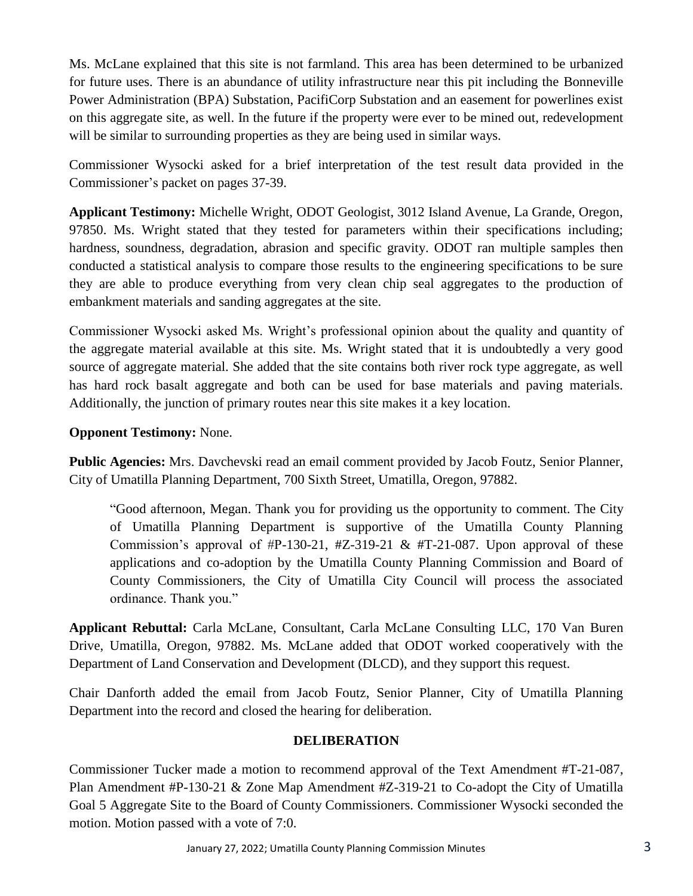Ms. McLane explained that this site is not farmland. This area has been determined to be urbanized for future uses. There is an abundance of utility infrastructure near this pit including the Bonneville Power Administration (BPA) Substation, PacifiCorp Substation and an easement for powerlines exist on this aggregate site, as well. In the future if the property were ever to be mined out, redevelopment will be similar to surrounding properties as they are being used in similar ways.

Commissioner Wysocki asked for a brief interpretation of the test result data provided in the Commissioner's packet on pages 37-39.

**Applicant Testimony:** Michelle Wright, ODOT Geologist, 3012 Island Avenue, La Grande, Oregon, 97850. Ms. Wright stated that they tested for parameters within their specifications including; hardness, soundness, degradation, abrasion and specific gravity. ODOT ran multiple samples then conducted a statistical analysis to compare those results to the engineering specifications to be sure they are able to produce everything from very clean chip seal aggregates to the production of embankment materials and sanding aggregates at the site.

Commissioner Wysocki asked Ms. Wright's professional opinion about the quality and quantity of the aggregate material available at this site. Ms. Wright stated that it is undoubtedly a very good source of aggregate material. She added that the site contains both river rock type aggregate, as well has hard rock basalt aggregate and both can be used for base materials and paving materials. Additionally, the junction of primary routes near this site makes it a key location.

# **Opponent Testimony:** None.

**Public Agencies:** Mrs. Davchevski read an email comment provided by [Jacob Foutz,](https://www.umatilla-city.org/directory-listing/jacob-foutz) Senior Planner, City of Umatilla Planning Department, 700 Sixth Street, Umatilla, Oregon, 97882.

"Good afternoon, Megan. Thank you for providing us the opportunity to comment. The City of Umatilla Planning Department is supportive of the Umatilla County Planning Commission's approval of #P-130-21, #Z-319-21  $&$  #T-21-087. Upon approval of these applications and co-adoption by the Umatilla County Planning Commission and Board of County Commissioners, the City of Umatilla City Council will process the associated ordinance. Thank you."

**Applicant Rebuttal:** Carla McLane, Consultant, Carla McLane Consulting LLC, 170 Van Buren Drive, Umatilla, Oregon, 97882. Ms. McLane added that ODOT worked cooperatively with the Department of Land Conservation and Development (DLCD), and they support this request.

Chair Danforth added the email from [Jacob Foutz,](https://www.umatilla-city.org/directory-listing/jacob-foutz) Senior Planner, City of Umatilla Planning Department into the record and closed the hearing for deliberation.

# **DELIBERATION**

Commissioner Tucker made a motion to recommend approval of the Text Amendment #T-21-087, Plan Amendment #P-130-21 & Zone Map Amendment #Z-319-21 to Co-adopt the City of Umatilla Goal 5 Aggregate Site to the Board of County Commissioners. Commissioner Wysocki seconded the motion. Motion passed with a vote of 7:0.